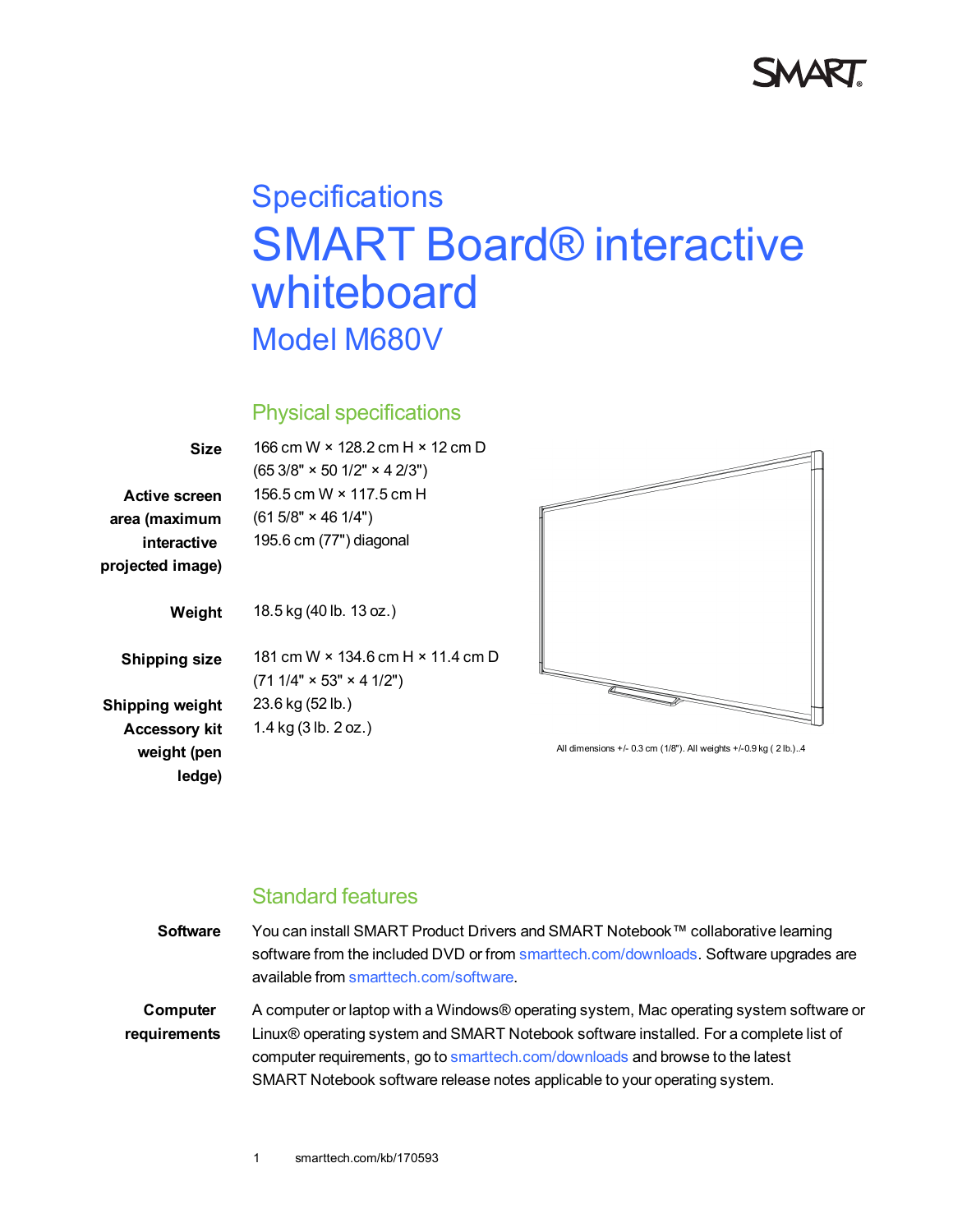

# **Specifications** SMART Board® interactive whiteboard Model M680V

### Physical specifications

| Size                 | 166 cm W × 128.2 cm H × 12 cm D                                         |
|----------------------|-------------------------------------------------------------------------|
|                      | $(653/8" \times 501/2" \times 42/3")$                                   |
| Active screen        | 156.5 cm W × 117.5 cm H                                                 |
| area (maximum        | $(615/8" \times 461/4")$                                                |
| interactive          | 195.6 cm (77") diagonal                                                 |
| projected image)     |                                                                         |
| Weight               | 18.5 kg (40 lb. 13 oz.)                                                 |
| <b>Shipping size</b> | 181 cm W × 134 6 cm H × 11 4 cm D<br>$(711/4" \times 53" \times 41/2")$ |
| Shipping weight      | 23.6 kg (52 lb.)                                                        |
| <b>Accessory kit</b> | 1.4 kg (3 lb. 2 oz.)                                                    |
| weight (pen          |                                                                         |

**ledge)**



All dimensions +/- 0.3 cm (1/8"). All weights +/-0.9 kg ( 2 lb.)..4

## Standard features

| <b>Software</b> | You can install SMART Product Drivers and SMART Notebook™ collaborative learning        |
|-----------------|-----------------------------------------------------------------------------------------|
|                 | software from the included DVD or from smarttech.com/downloads. Software upgrades are   |
|                 | available from smarttech.com/software.                                                  |
| Computer        | A computer or laptop with a Windows® operating system, Mac operating system software or |
| requirements    | Linux® operating system and SMART Notebook software installed. For a complete list of   |
|                 | computer requirements, go to smarttech.com/downloads and browse to the latest           |
|                 | SMART Notebook software release notes applicable to your operating system.              |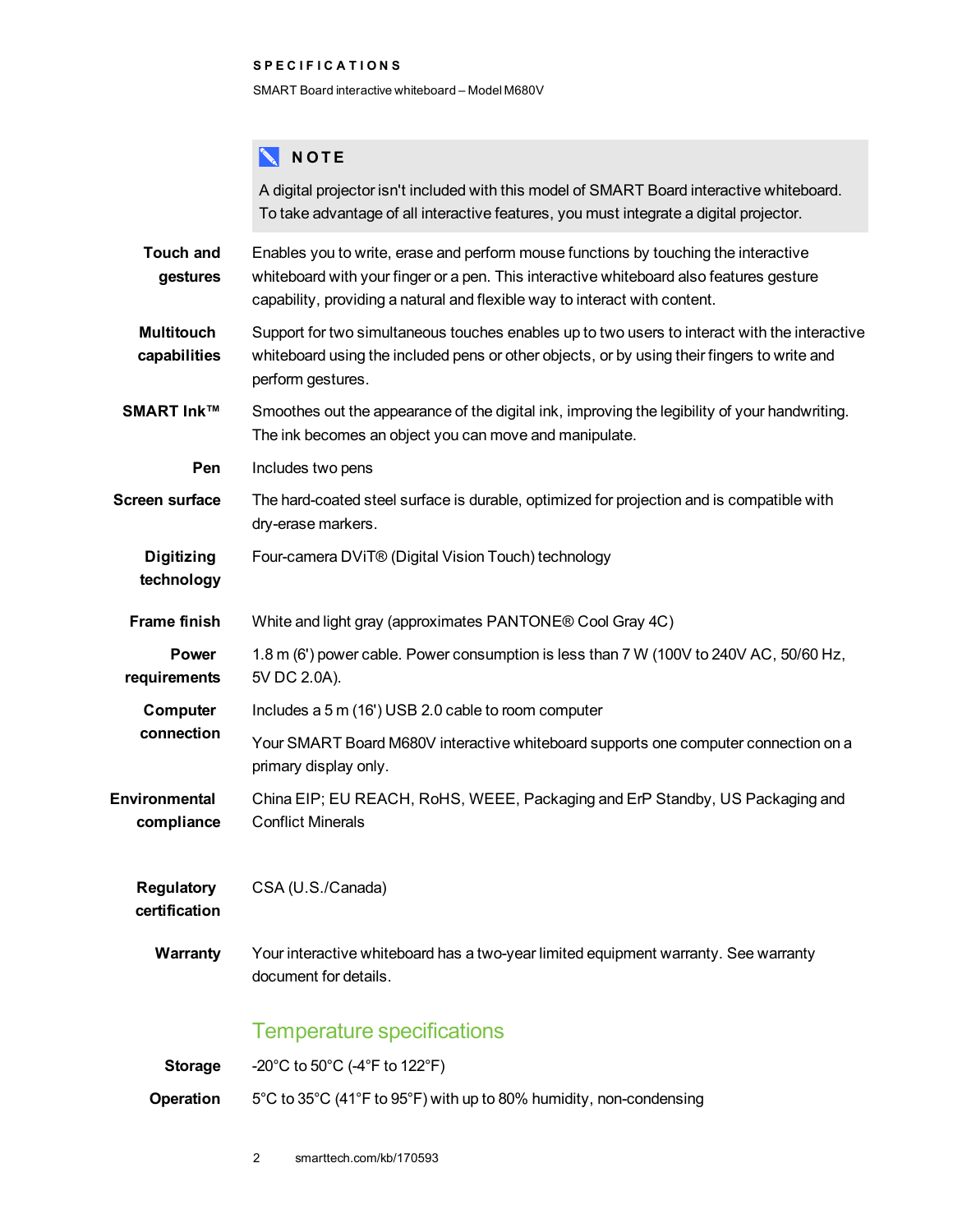#### **S P E C I F I C A T I O N S**

SMART Board interactive whiteboard – Model M680V

## **NOTE**

|                                    | A digital projector isn't included with this model of SMART Board interactive whiteboard.<br>To take advantage of all interactive features, you must integrate a digital projector.                                                                          |
|------------------------------------|--------------------------------------------------------------------------------------------------------------------------------------------------------------------------------------------------------------------------------------------------------------|
| <b>Touch and</b><br>gestures       | Enables you to write, erase and perform mouse functions by touching the interactive<br>whiteboard with your finger or a pen. This interactive whiteboard also features gesture<br>capability, providing a natural and flexible way to interact with content. |
| <b>Multitouch</b><br>capabilities  | Support for two simultaneous touches enables up to two users to interact with the interactive<br>whiteboard using the included pens or other objects, or by using their fingers to write and<br>perform gestures.                                            |
| <b>SMART Ink™</b>                  | Smoothes out the appearance of the digital ink, improving the legibility of your handwriting.<br>The ink becomes an object you can move and manipulate.                                                                                                      |
| Pen                                | Includes two pens                                                                                                                                                                                                                                            |
| <b>Screen surface</b>              | The hard-coated steel surface is durable, optimized for projection and is compatible with<br>dry-erase markers.                                                                                                                                              |
| <b>Digitizing</b><br>technology    | Four-camera DViT® (Digital Vision Touch) technology                                                                                                                                                                                                          |
| <b>Frame finish</b>                | White and light gray (approximates PANTONE® Cool Gray 4C)                                                                                                                                                                                                    |
| <b>Power</b><br>requirements       | 1.8 m (6') power cable. Power consumption is less than 7 W (100V to 240V AC, 50/60 Hz,<br>5V DC 2.0A).                                                                                                                                                       |
| Computer<br>connection             | Includes a 5 m (16') USB 2.0 cable to room computer                                                                                                                                                                                                          |
|                                    | Your SMART Board M680V interactive whiteboard supports one computer connection on a<br>primary display only.                                                                                                                                                 |
| Environmental<br>compliance        | China EIP; EU REACH, RoHS, WEEE, Packaging and ErP Standby, US Packaging and<br><b>Conflict Minerals</b>                                                                                                                                                     |
| <b>Regulatory</b><br>certification | CSA (U.S./Canada)                                                                                                                                                                                                                                            |
| <b>Warranty</b>                    | Your interactive whiteboard has a two-year limited equipment warranty. See warranty<br>document for details.                                                                                                                                                 |
|                                    | <b>Temperature specifications</b>                                                                                                                                                                                                                            |
| <b>Storage</b>                     | -20°C to 50°C (-4°F to 122°F)                                                                                                                                                                                                                                |
| Operation                          | 5°C to 35°C (41°F to 95°F) with up to 80% humidity, non-condensing                                                                                                                                                                                           |

2 smarttech.com/kb/170593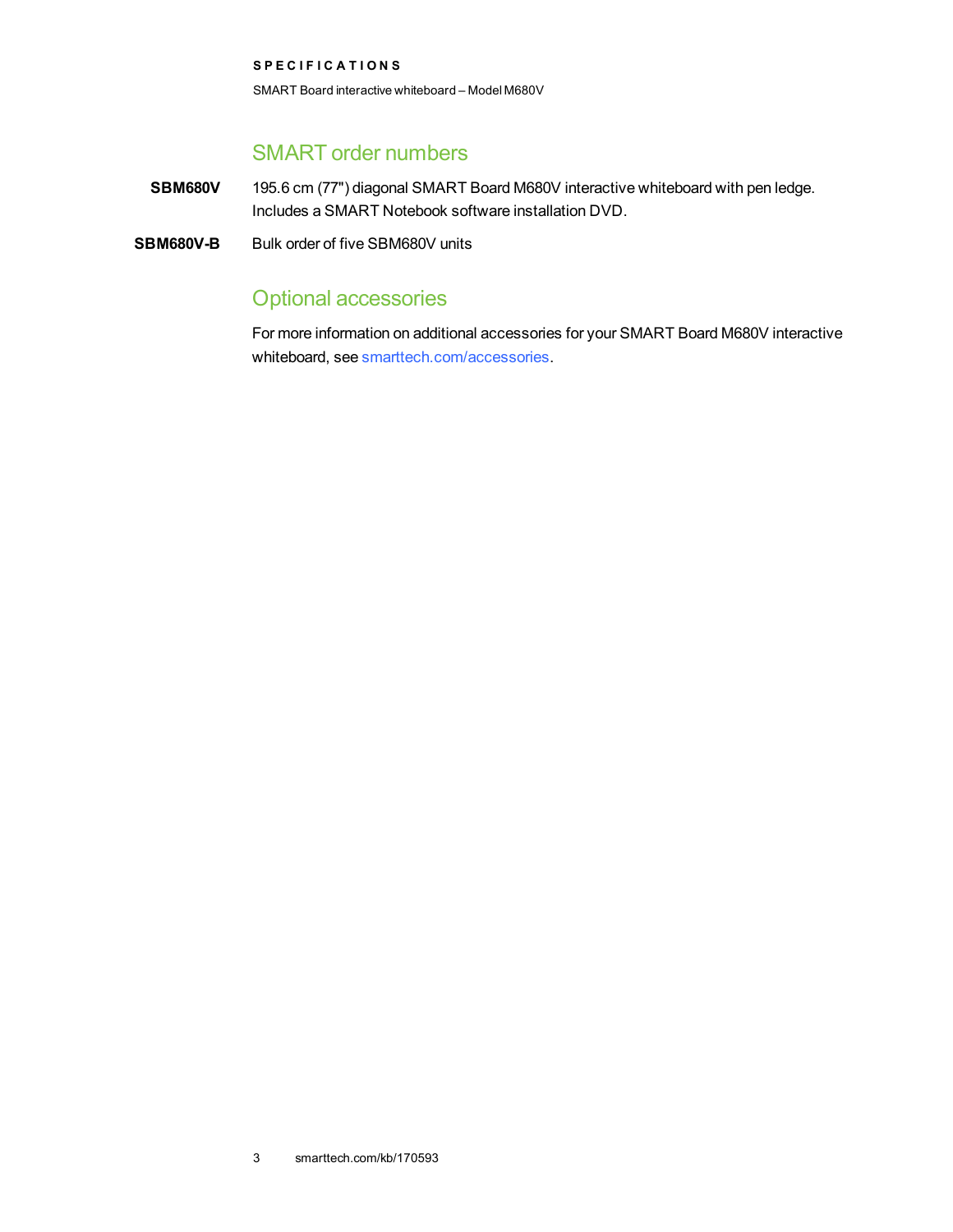**S P E C I F I C A T I O N S** SMART Board interactive whiteboard – Model M680V

## SMART order numbers

**SBM680V** 195.6 cm (77") diagonal SMART Board M680V interactive whiteboard with pen ledge. Includes a SMART Notebook software installation DVD.

**SBM680V-B** Bulk order of five SBM680V units

# Optional accessories

For more information on additional accessories for your SMART Board M680V interactive whiteboard, see [smarttech.com/accessories](http://www.smarttech.com/accessories).